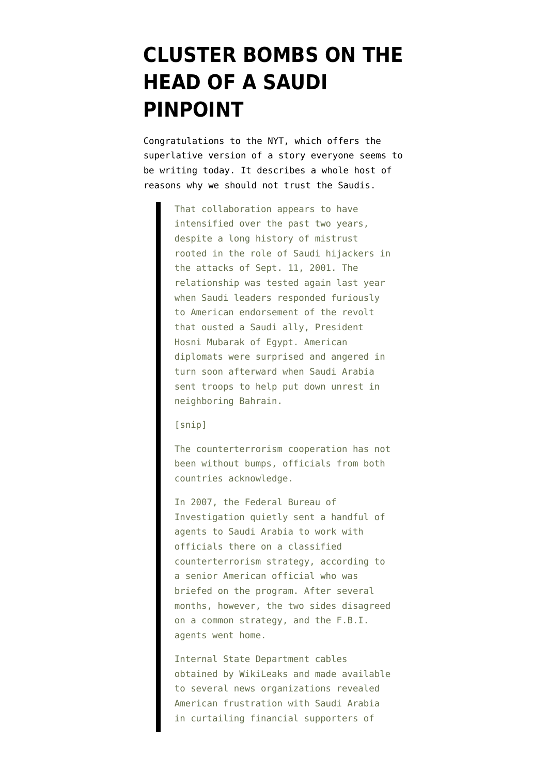# **[CLUSTER BOMBS ON THE](https://www.emptywheel.net/2012/05/10/cluster-bombs-on-the-head-of-a-saudi-pinpoint/) [HEAD OF A SAUDI](https://www.emptywheel.net/2012/05/10/cluster-bombs-on-the-head-of-a-saudi-pinpoint/) [PINPOINT](https://www.emptywheel.net/2012/05/10/cluster-bombs-on-the-head-of-a-saudi-pinpoint/)**

Congratulations to the NYT, which offers [the](https://www.nytimes.com/2012/05/10/world/middleeast/years-of-us-saudi-teamwork-led-to-airline-plots-failure.html?_r=2&pagewanted=1&pagewanted=all) [superlative version of a story](https://www.nytimes.com/2012/05/10/world/middleeast/years-of-us-saudi-teamwork-led-to-airline-plots-failure.html?_r=2&pagewanted=1&pagewanted=all) everyone seems to be writing today. It describes a whole host of reasons why we should not trust the Saudis.

> That collaboration appears to have intensified over the past two years, despite a long history of mistrust rooted in the role of Saudi hijackers in the attacks of Sept. 11, 2001. The relationship was tested again last year when Saudi leaders responded furiously to American endorsement of the revolt that ousted a Saudi ally, President Hosni Mubarak of Egypt. American diplomats were surprised and angered in turn soon afterward when Saudi Arabia sent troops to help put down unrest in neighboring Bahrain.

## [snip]

The counterterrorism cooperation has not been without bumps, officials from both countries acknowledge.

In 2007, the Federal Bureau of Investigation quietly sent a handful of agents to Saudi Arabia to work with officials there on a classified counterterrorism strategy, according to a senior American official who was briefed on the program. After several months, however, the two sides disagreed on a common strategy, and the F.B.I. agents went home.

Internal State Department cables obtained by WikiLeaks and made available to several news organizations revealed American frustration with Saudi Arabia in curtailing financial supporters of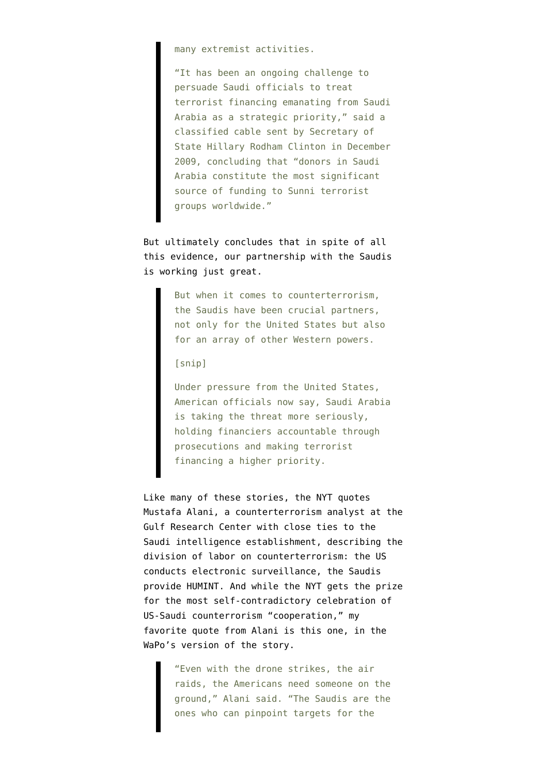many extremist activities.

"It has been an ongoing challenge to persuade Saudi officials to treat terrorist financing emanating from Saudi Arabia as a strategic priority," said a classified cable sent by Secretary of State Hillary Rodham Clinton in December 2009, concluding that "donors in Saudi Arabia constitute the most significant source of funding to Sunni terrorist groups worldwide."

But ultimately concludes that in spite of all this evidence, our partnership with the Saudis is working just great.

> But when it comes to counterterrorism, the Saudis have been crucial partners, not only for the United States but also for an array of other Western powers.

## [snip]

Under pressure from the United States, American officials now say, Saudi Arabia is taking the threat more seriously, holding financiers accountable through prosecutions and making terrorist financing a higher priority.

Like many of these stories, the NYT quotes Mustafa Alani, a [counterterrorism analyst at the](http://www.grc.ae/index.php?frm_system_action=&PK_ID=5334&frm_action=view_people&frm_module=usermanagement&sec=people&sec_type=d&frm_pageno=&Wordsearch=&op_lang=&search_what=&frm_SearchModuleName=&override=Mustafa++Alani) [Gulf Research Center](http://www.grc.ae/index.php?frm_system_action=&PK_ID=5334&frm_action=view_people&frm_module=usermanagement&sec=people&sec_type=d&frm_pageno=&Wordsearch=&op_lang=&search_what=&frm_SearchModuleName=&override=Mustafa++Alani) with close ties to the Saudi intelligence establishment, describing the division of labor on counterterrorism: the US conducts electronic surveillance, the Saudis provide HUMINT. And while the NYT gets the prize for the most self-contradictory celebration of US-Saudi counterrorism "cooperation," my favorite quote from Alani is this one, in the [WaPo's version of the story](http://www.washingtonpost.com/world/in-foiled-bomb-plot-aqap-took-bait-dangled-by-saudi-informant/2012/05/09/gIQA9oXIEU_story.html).

> "Even with the drone strikes, the air raids, the Americans need someone on the ground," Alani said. "The Saudis are the ones who can pinpoint targets for the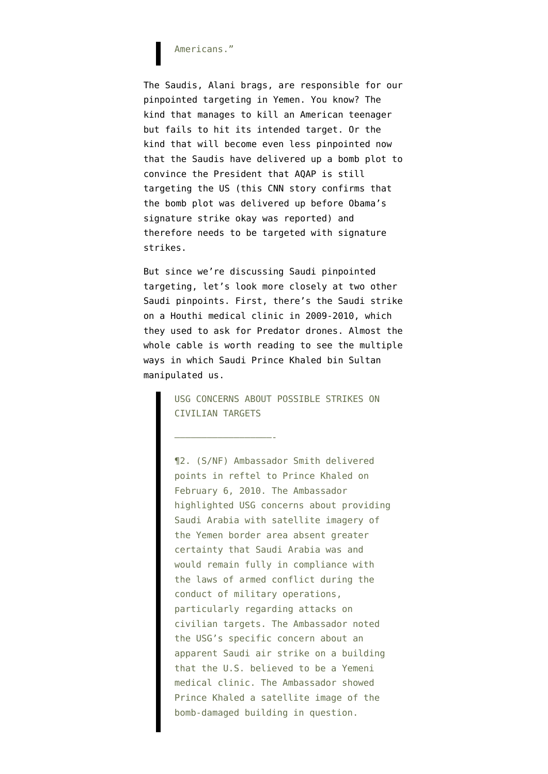# Americans."

The Saudis, Alani brags, are responsible for our pinpointed targeting in Yemen. You know? The kind that [manages to kill an American teenager](http://www.emptywheel.net/2012/04/13/the-damage-abdulrahman-al-awlaki-was-collateral-to-not-dead/) but fails to hit its intended target. Or the kind that will [become even less pinpointed](http://www.emptywheel.net/2012/05/09/the-undiebombers-signature-timing/) now that the Saudis have delivered up a bomb plot to convince the President that AQAP is still targeting the US (this [CNN story confirms](http://edition.cnn.com/2012/05/09/world/meast/al-qaeda-plot/?hpt=hp_t1) that the bomb plot was delivered up before Obama's signature strike okay was reported) and therefore needs to be targeted with signature strikes.

But since we're discussing Saudi pinpointed targeting, let's look more closely at two other Saudi pinpoints. First, there's the [Saudi strike](http://wikileaks.org/cable/2010/02/10RIYADH159.html#) [on a Houthi medical clinic in 2009-2010,](http://wikileaks.org/cable/2010/02/10RIYADH159.html#) which they used to ask for Predator drones. Almost the whole cable is worth reading to see the multiple ways in which Saudi Prince Khaled bin Sultan manipulated us.

> USG CONCERNS ABOUT POSSIBLE STRIKES ON CIVILIAN TARGETS

——————————————————-

¶2. (S/NF) Ambassador Smith delivered points in reftel to Prince Khaled on February 6, 2010. The Ambassador highlighted USG concerns about providing Saudi Arabia with satellite imagery of the Yemen border area absent greater certainty that Saudi Arabia was and would remain fully in compliance with the laws of armed conflict during the conduct of military operations, particularly regarding attacks on civilian targets. The Ambassador noted the USG's specific concern about an apparent Saudi air strike on a building that the U.S. believed to be a Yemeni medical clinic. The Ambassador showed Prince Khaled a satellite image of the bomb-damaged building in question.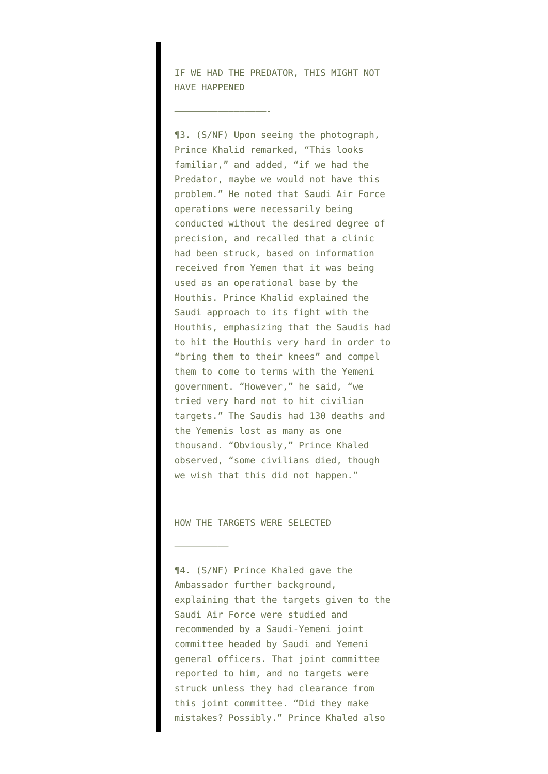IF WE HAD THE PREDATOR, THIS MIGHT NOT HAVE HAPPENED

—————————————————-

¶3. (S/NF) Upon seeing the photograph, Prince Khalid remarked, "This looks familiar," and added, "if we had the Predator, maybe we would not have this problem." He noted that Saudi Air Force operations were necessarily being conducted without the desired degree of precision, and recalled that a clinic had been struck, based on information received from Yemen that it was being used as an operational base by the Houthis. Prince Khalid explained the Saudi approach to its fight with the Houthis, emphasizing that the Saudis had to hit the Houthis very hard in order to "bring them to their knees" and compel them to come to terms with the Yemeni government. "However," he said, "we tried very hard not to hit civilian targets." The Saudis had 130 deaths and the Yemenis lost as many as one thousand. "Obviously," Prince Khaled observed, "some civilians died, though we wish that this did not happen."

HOW THE TARGETS WERE SELECTED

—————————–

¶4. (S/NF) Prince Khaled gave the Ambassador further background, explaining that the targets given to the Saudi Air Force were studied and recommended by a Saudi-Yemeni joint committee headed by Saudi and Yemeni general officers. That joint committee reported to him, and no targets were struck unless they had clearance from this joint committee. "Did they make mistakes? Possibly." Prince Khaled also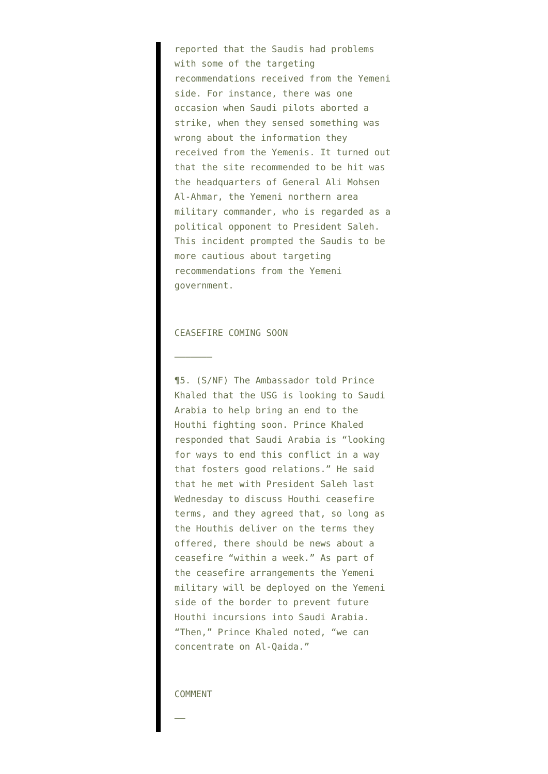reported that the Saudis had problems with some of the targeting recommendations received from the Yemeni side. For instance, there was one occasion when Saudi pilots aborted a strike, when they sensed something was wrong about the information they received from the Yemenis. It turned out that the site recommended to be hit was the headquarters of General Ali Mohsen Al-Ahmar, the Yemeni northern area military commander, who is regarded as a political opponent to President Saleh. This incident prompted the Saudis to be more cautious about targeting recommendations from the Yemeni government.

# CEASEFIRE COMING SOON

———————

¶5. (S/NF) The Ambassador told Prince Khaled that the USG is looking to Saudi Arabia to help bring an end to the Houthi fighting soon. Prince Khaled responded that Saudi Arabia is "looking for ways to end this conflict in a way that fosters good relations." He said that he met with President Saleh last Wednesday to discuss Houthi ceasefire terms, and they agreed that, so long as the Houthis deliver on the terms they offered, there should be news about a ceasefire "within a week." As part of the ceasefire arrangements the Yemeni military will be deployed on the Yemeni side of the border to prevent future Houthi incursions into Saudi Arabia. "Then," Prince Khaled noted, "we can concentrate on Al-Qaida."

## COMMENT

——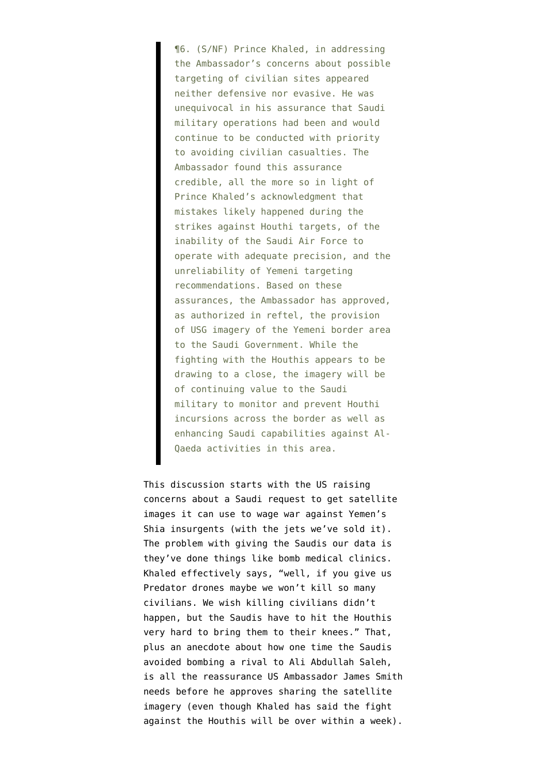¶6. (S/NF) Prince Khaled, in addressing the Ambassador's concerns about possible targeting of civilian sites appeared neither defensive nor evasive. He was unequivocal in his assurance that Saudi military operations had been and would continue to be conducted with priority to avoiding civilian casualties. The Ambassador found this assurance credible, all the more so in light of Prince Khaled's acknowledgment that mistakes likely happened during the strikes against Houthi targets, of the inability of the Saudi Air Force to operate with adequate precision, and the unreliability of Yemeni targeting recommendations. Based on these assurances, the Ambassador has approved, as authorized in reftel, the provision of USG imagery of the Yemeni border area to the Saudi Government. While the fighting with the Houthis appears to be drawing to a close, the imagery will be of continuing value to the Saudi military to monitor and prevent Houthi incursions across the border as well as enhancing Saudi capabilities against Al-Qaeda activities in this area.

This discussion starts with the US raising concerns about a Saudi request to get satellite images it can use to wage war against Yemen's Shia insurgents (with the jets we've sold it). The problem with giving the Saudis our data is they've done things like bomb medical clinics. Khaled effectively says, "well, if you give us Predator drones maybe we won't kill so many civilians. We wish killing civilians didn't happen, but the Saudis have to hit the Houthis very hard to bring them to their knees." That, plus an anecdote about how one time the Saudis avoided bombing a rival to Ali Abdullah Saleh, is all the reassurance US Ambassador James Smith needs before he approves sharing the satellite imagery (even though Khaled has said the fight against the Houthis will be over within a week).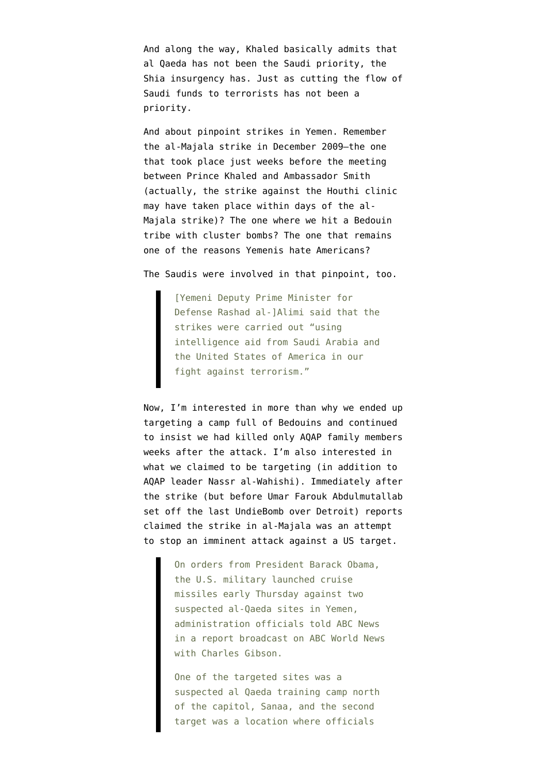And along the way, Khaled basically admits that al Qaeda has not been the Saudi priority, the Shia insurgency has. Just as cutting the flow of Saudi funds to terrorists has not been a priority.

And about pinpoint strikes in Yemen. Remember the [al-Majala strike](http://www.emptywheel.net/2012/04/17/saleh-i-have-given-you-an-open-door-on-terrorism-so-i-am-not-responsible/) in December 2009–the one that took place just weeks before the meeting between Prince Khaled and Ambassador Smith (actually, the strike against the Houthi clinic may have taken place within days of the al-Majala strike)? The one where we hit a Bedouin tribe with cluster bombs? The one that remains one of the reasons Yemenis hate Americans?

The Saudis were involved in [that pinpoint,](http://www.cablegatesearch.net/cable.php?id=09SANAA2274) too.

[Yemeni Deputy Prime Minister for Defense Rashad al-]Alimi said that the strikes were carried out "using intelligence aid from Saudi Arabia and the United States of America in our fight against terrorism."

Now, I'm interested in more than why we ended up targeting a camp full of Bedouins and [continued](http://www.cablegatesearch.net/cable.php?id=10SANAA4) [to insist](http://www.cablegatesearch.net/cable.php?id=10SANAA4) we had killed only AQAP family members weeks after the attack. I'm also interested in what we claimed to be targeting (in addition to AQAP leader Nassr al-Wahishi). Immediately after the strike (but before Umar Farouk Abdulmutallab set off the last UndieBomb over Detroit) reports [claimed](http://abcnews.go.com/Blotter/cruise-missiles-strike-yemen/story?id=9375236&page=2#.T6v74L8te62) the strike in al-Majala was an attempt to stop an imminent attack against a US target.

> On orders from President Barack Obama, the U.S. military launched cruise missiles early Thursday against two suspected al-Qaeda sites in Yemen, administration officials told ABC News in a report broadcast on ABC World News with Charles Gibson.

One of the targeted sites was a suspected al Qaeda training camp north of the capitol, Sanaa, and the second target was a location where officials